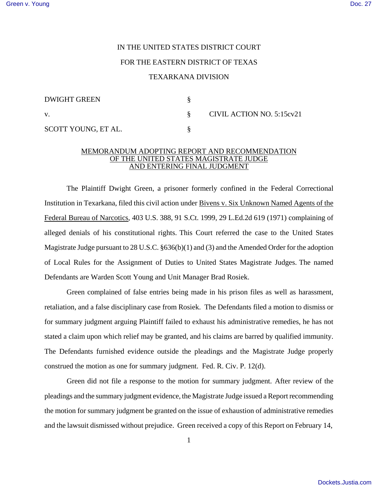## IN THE UNITED STATES DISTRICT COURT FOR THE EASTERN DISTRICT OF TEXAS TEXARKANA DIVISION

| <b>DWIGHT GREEN</b> |  |
|---------------------|--|
| V.                  |  |
| SCOTT YOUNG, ET AL. |  |

v. § CIVIL ACTION NO. 5:15cv21

## MEMORANDUM ADOPTING REPORT AND RECOMMENDATION OF THE UNITED STATES MAGISTRATE JUDGE AND ENTERING FINAL JUDGMENT

The Plaintiff Dwight Green, a prisoner formerly confined in the Federal Correctional Institution in Texarkana, filed this civil action under Bivens v. Six Unknown Named Agents of the Federal Bureau of Narcotics, 403 U.S. 388, 91 S.Ct. 1999, 29 L.Ed.2d 619 (1971) complaining of alleged denials of his constitutional rights. This Court referred the case to the United States Magistrate Judge pursuant to 28 U.S.C. §636(b)(1) and (3) and the Amended Order for the adoption of Local Rules for the Assignment of Duties to United States Magistrate Judges. The named Defendants are Warden Scott Young and Unit Manager Brad Rosiek.

Green complained of false entries being made in his prison files as well as harassment, retaliation, and a false disciplinary case from Rosiek. The Defendants filed a motion to dismiss or for summary judgment arguing Plaintiff failed to exhaust his administrative remedies, he has not stated a claim upon which relief may be granted, and his claims are barred by qualified immunity. The Defendants furnished evidence outside the pleadings and the Magistrate Judge properly construed the motion as one for summary judgment. Fed. R. Civ. P. 12(d).

Green did not file a response to the motion for summary judgment. After review of the pleadings and the summary judgment evidence, the Magistrate Judge issued a Report recommending the motion for summary judgment be granted on the issue of exhaustion of administrative remedies and the lawsuit dismissed without prejudice. Green received a copy of this Report on February 14,